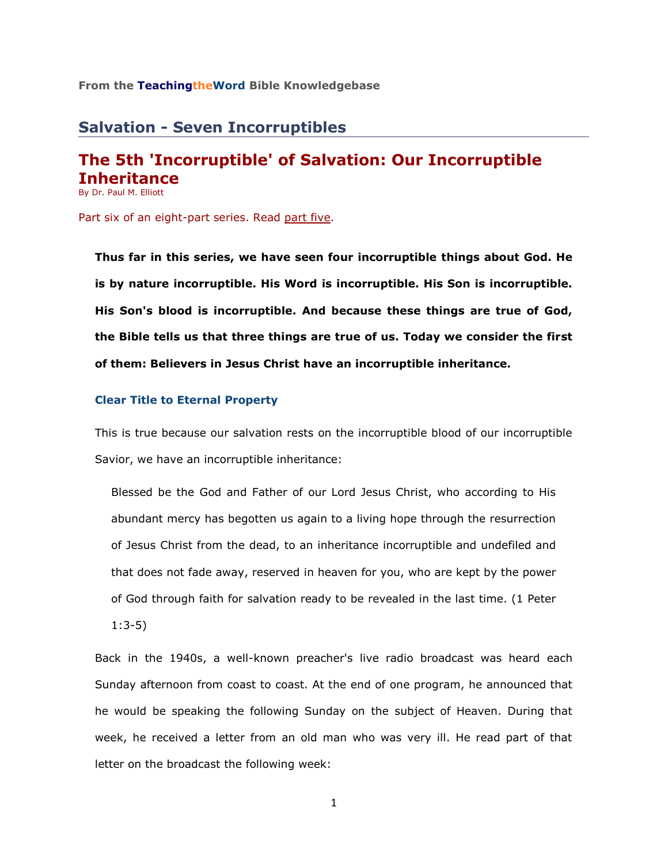#### **From the TeachingtheWord Bible Knowledgebase**

# **Salvation - Seven Incorruptibles**

## **The 5th 'Incorruptible' of Salvation: Our Incorruptible Inheritance** By Dr. Paul M. Elliott

Part six of an eight-part series. Read [part five.](http://www.teachingtheword.org/apps/articles/web/articleid/61121/columnid/5861/default.asp)

**Thus far in this series, we have seen four incorruptible things about God. He is by nature incorruptible. His Word is incorruptible. His Son is incorruptible. His Son's blood is incorruptible. And because these things are true of God, the Bible tells us that three things are true of us. Today we consider the first of them: Believers in Jesus Christ have an incorruptible inheritance.**

#### **Clear Title to Eternal Property**

This is true because our salvation rests on the incorruptible blood of our incorruptible Savior, we have an incorruptible inheritance:

Blessed be the God and Father of our Lord Jesus Christ, who according to His abundant mercy has begotten us again to a living hope through the resurrection of Jesus Christ from the dead, to an inheritance incorruptible and undefiled and that does not fade away, reserved in heaven for you, who are kept by the power of God through faith for salvation ready to be revealed in the last time. (1 Peter

1:3-5)

Back in the 1940s, a well-known preacher's live radio broadcast was heard each Sunday afternoon from coast to coast. At the end of one program, he announced that he would be speaking the following Sunday on the subject of Heaven. During that week, he received a letter from an old man who was very ill. He read part of that letter on the broadcast the following week:

1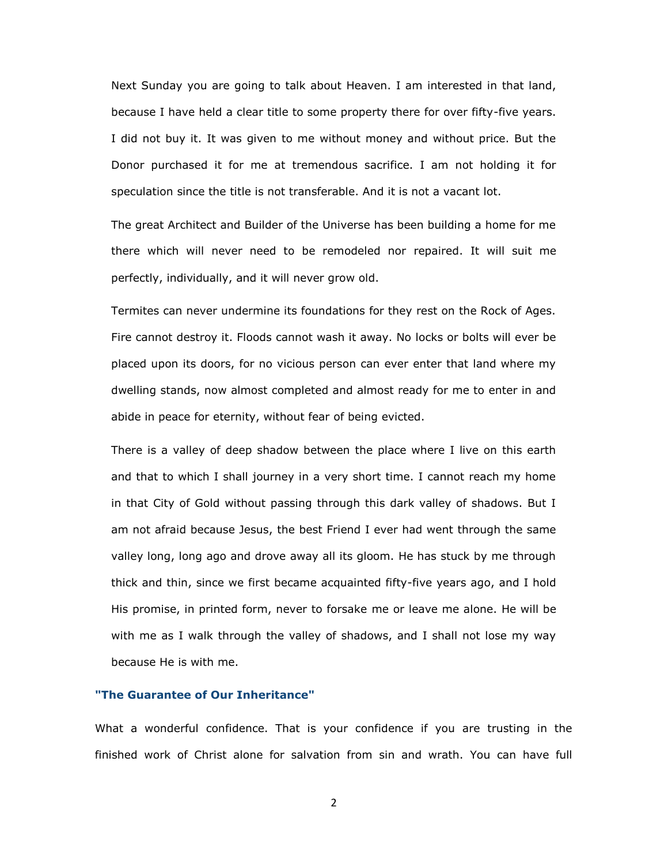Next Sunday you are going to talk about Heaven. I am interested in that land, because I have held a clear title to some property there for over fifty-five years. I did not buy it. It was given to me without money and without price. But the Donor purchased it for me at tremendous sacrifice. I am not holding it for speculation since the title is not transferable. And it is not a vacant lot.

The great Architect and Builder of the Universe has been building a home for me there which will never need to be remodeled nor repaired. It will suit me perfectly, individually, and it will never grow old.

Termites can never undermine its foundations for they rest on the Rock of Ages. Fire cannot destroy it. Floods cannot wash it away. No locks or bolts will ever be placed upon its doors, for no vicious person can ever enter that land where my dwelling stands, now almost completed and almost ready for me to enter in and abide in peace for eternity, without fear of being evicted.

There is a valley of deep shadow between the place where I live on this earth and that to which I shall journey in a very short time. I cannot reach my home in that City of Gold without passing through this dark valley of shadows. But I am not afraid because Jesus, the best Friend I ever had went through the same valley long, long ago and drove away all its gloom. He has stuck by me through thick and thin, since we first became acquainted fifty-five years ago, and I hold His promise, in printed form, never to forsake me or leave me alone. He will be with me as I walk through the valley of shadows, and I shall not lose my way because He is with me.

### **"The Guarantee of Our Inheritance"**

What a wonderful confidence. That is your confidence if you are trusting in the finished work of Christ alone for salvation from sin and wrath. You can have full

2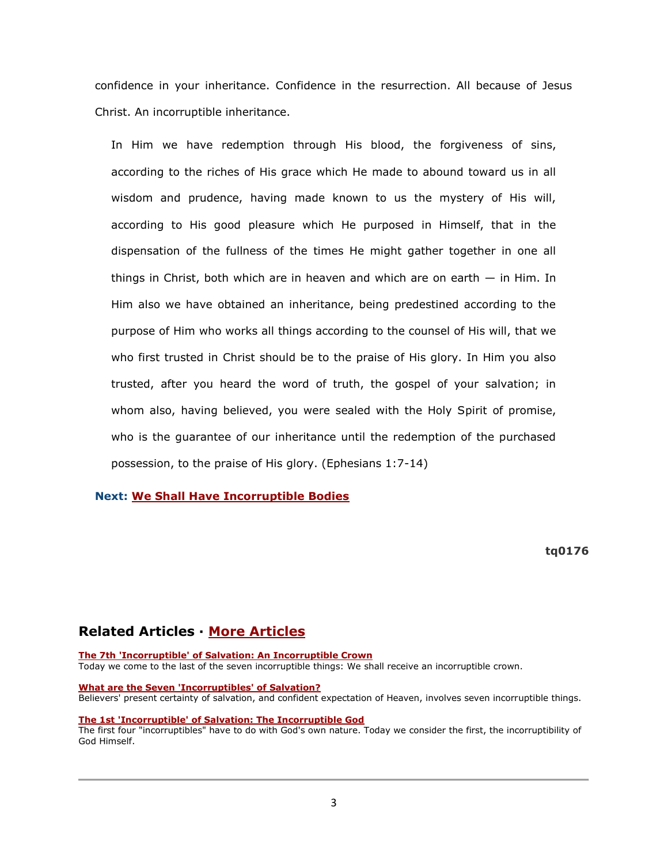confidence in your inheritance. Confidence in the resurrection. All because of Jesus Christ. An incorruptible inheritance.

In Him we have redemption through His blood, the forgiveness of sins, according to the riches of His grace which He made to abound toward us in all wisdom and prudence, having made known to us the mystery of His will, according to His good pleasure which He purposed in Himself, that in the dispensation of the fullness of the times He might gather together in one all things in Christ, both which are in heaven and which are on earth  $-$  in Him. In Him also we have obtained an inheritance, being predestined according to the purpose of Him who works all things according to the counsel of His will, that we who first trusted in Christ should be to the praise of His glory. In Him you also trusted, after you heard the word of truth, the gospel of your salvation; in whom also, having believed, you were sealed with the Holy Spirit of promise, who is the guarantee of our inheritance until the redemption of the purchased possession, to the praise of His glory. (Ephesians 1:7-14)

### **Next: [We Shall Have Incorruptible Bodies](http://www.teachingtheword.org/apps/articles/web/articleid/61123/columnid/5861/default.asp)**

**tq0176**

# **Related Articles · [More Articles](http://73011.netministry.com/apps/articles/web/columnid/5861/default.asp)**

**[The 7th 'Incorruptible' of Salvation: An Incorruptible Crown](http://73011.netministry.com/apps/articles/web/articleid/69718/columnid/5861/default.asp)** Today we come to the last of the seven incorruptible things: We shall receive an incorruptible crown.

**[What are the Seven 'Incorruptibles' of Salvation?](http://73011.netministry.com/apps/articles/web/articleid/61117/columnid/5861/default.asp)** Believers' present certainty of salvation, and confident expectation of Heaven, involves seven incorruptible things.

#### **[The 1st 'Incorruptible' of Salvation: The Incorruptible God](http://73011.netministry.com/apps/articles/web/articleid/61118/columnid/5861/default.asp)**

The first four "incorruptibles" have to do with God's own nature. Today we consider the first, the incorruptibility of God Himself.